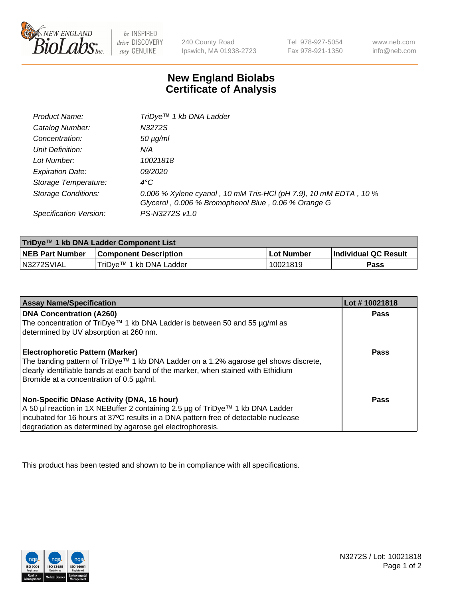

 $be$  INSPIRED drive DISCOVERY stay GENUINE

240 County Road Ipswich, MA 01938-2723 Tel 978-927-5054 Fax 978-921-1350 www.neb.com info@neb.com

## **New England Biolabs Certificate of Analysis**

| Product Name:                 | TriDye <sup>™</sup> 1 kb DNA Ladder                                                                                     |
|-------------------------------|-------------------------------------------------------------------------------------------------------------------------|
| Catalog Number:               | N3272S                                                                                                                  |
| Concentration:                | $50 \mu g/ml$                                                                                                           |
| Unit Definition:              | N/A                                                                                                                     |
| Lot Number:                   | 10021818                                                                                                                |
| <b>Expiration Date:</b>       | 09/2020                                                                                                                 |
| Storage Temperature:          | $4^{\circ}$ C                                                                                                           |
| Storage Conditions:           | 0.006 % Xylene cyanol, 10 mM Tris-HCl (pH 7.9), 10 mM EDTA, 10 %<br>Glycerol, 0.006 % Bromophenol Blue, 0.06 % Orange G |
| <b>Specification Version:</b> | PS-N3272S v1.0                                                                                                          |

| TriDye™ 1 kb DNA Ladder Component List |                              |            |                             |  |
|----------------------------------------|------------------------------|------------|-----------------------------|--|
| <b>NEB Part Number</b>                 | <b>Component Description</b> | Lot Number | <b>Individual QC Result</b> |  |
| N3272SVIAL                             | TriDve™ 1 kb DNA Ladder      | 10021819   | Pass                        |  |

| <b>Assay Name/Specification</b>                                                                                               | Lot #10021818 |
|-------------------------------------------------------------------------------------------------------------------------------|---------------|
| <b>DNA Concentration (A260)</b>                                                                                               | <b>Pass</b>   |
| The concentration of TriDye™ 1 kb DNA Ladder is between 50 and 55 µg/ml as<br>determined by UV absorption at 260 nm.          |               |
|                                                                                                                               |               |
| <b>Electrophoretic Pattern (Marker)</b>                                                                                       | Pass          |
| The banding pattern of TriDye™ 1 kb DNA Ladder on a 1.2% agarose gel shows discrete,                                          |               |
| clearly identifiable bands at each band of the marker, when stained with Ethidium<br>Bromide at a concentration of 0.5 µg/ml. |               |
|                                                                                                                               |               |
| Non-Specific DNase Activity (DNA, 16 hour)                                                                                    | Pass          |
| A 50 µl reaction in 1X NEBuffer 2 containing 2.5 µg of TriDye™ 1 kb DNA Ladder                                                |               |
| incubated for 16 hours at 37°C results in a DNA pattern free of detectable nuclease                                           |               |
| degradation as determined by agarose gel electrophoresis.                                                                     |               |

This product has been tested and shown to be in compliance with all specifications.